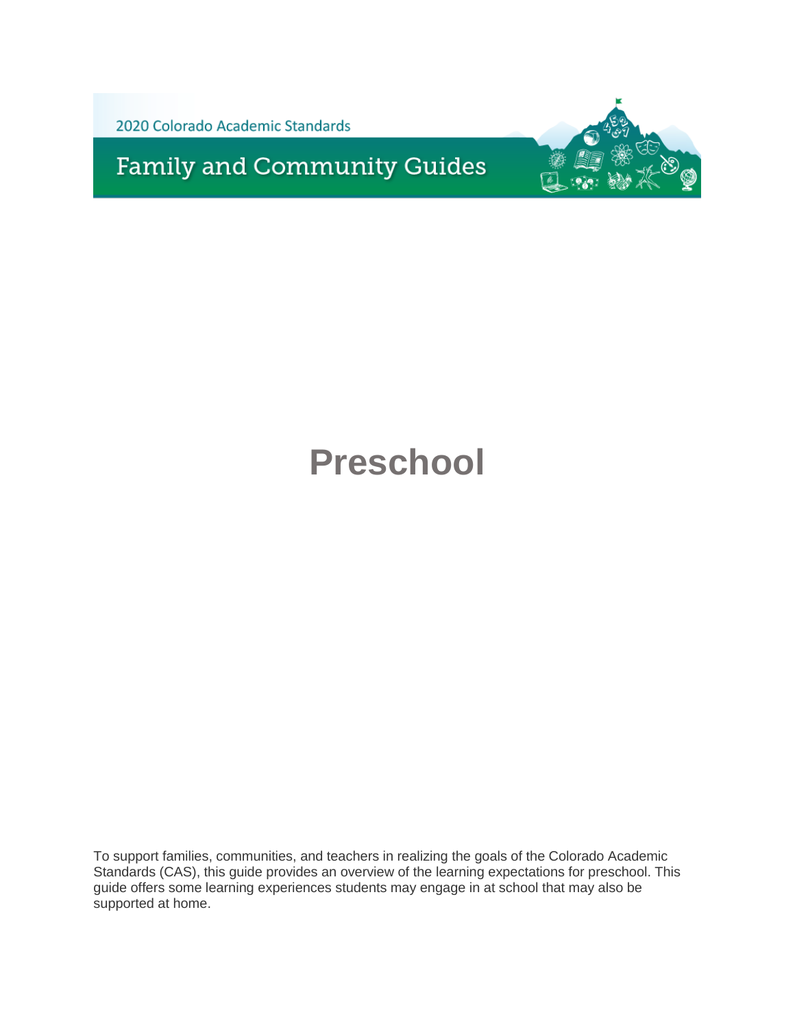2020 Colorado Academic Standards

**Family and Community Guides** 



## **Preschool**

To support families, communities, and teachers in realizing the goals of the Colorado Academic Standards (CAS), this guide provides an overview of the learning expectations for preschool. This guide offers some learning experiences students may engage in at school that may also be supported at home.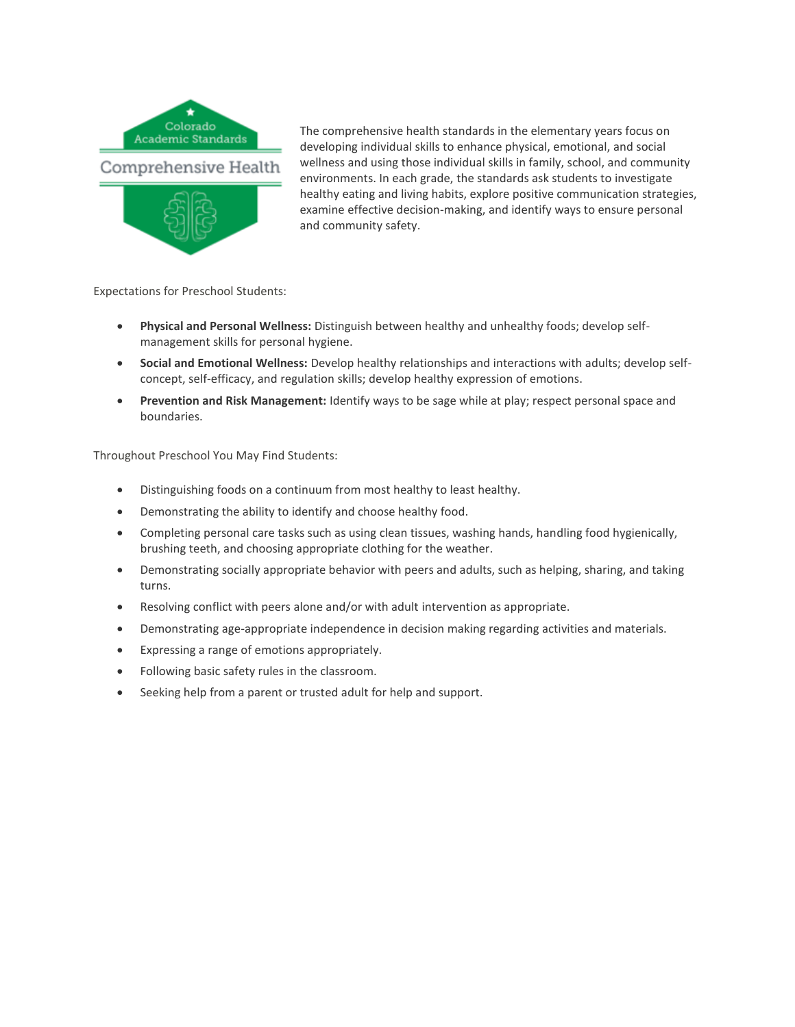

The comprehensive health standards in the elementary years focus on developing individual skills to enhance physical, emotional, and social wellness and using those individual skills in family, school, and community environments. In each grade, the standards ask students to investigate healthy eating and living habits, explore positive communication strategies, examine effective decision-making, and identify ways to ensure personal and community safety.

Expectations for Preschool Students:

- **Physical and Personal Wellness:** Distinguish between healthy and unhealthy foods; develop selfmanagement skills for personal hygiene.
- **Social and Emotional Wellness:** Develop healthy relationships and interactions with adults; develop selfconcept, self-efficacy, and regulation skills; develop healthy expression of emotions.
- **Prevention and Risk Management:** Identify ways to be sage while at play; respect personal space and boundaries.

- Distinguishing foods on a continuum from most healthy to least healthy.
- Demonstrating the ability to identify and choose healthy food.
- Completing personal care tasks such as using clean tissues, washing hands, handling food hygienically, brushing teeth, and choosing appropriate clothing for the weather.
- Demonstrating socially appropriate behavior with peers and adults, such as helping, sharing, and taking turns.
- Resolving conflict with peers alone and/or with adult intervention as appropriate.
- Demonstrating age-appropriate independence in decision making regarding activities and materials.
- Expressing a range of emotions appropriately.
- Following basic safety rules in the classroom.
- Seeking help from a parent or trusted adult for help and support.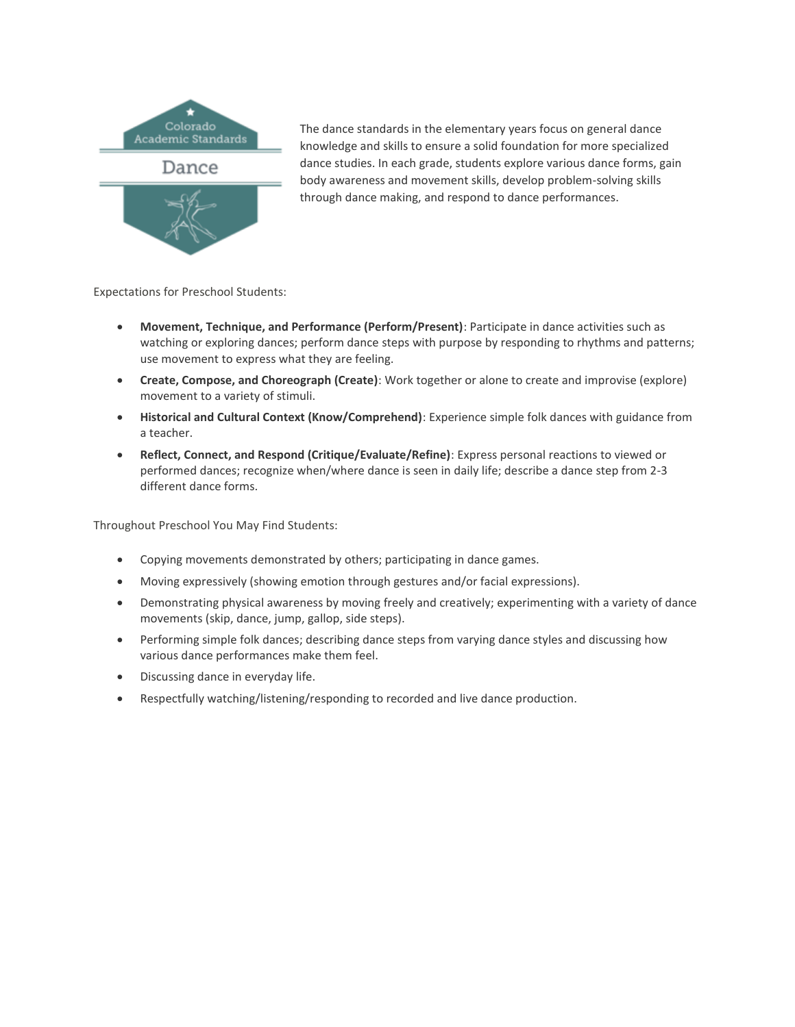

The dance standards in the elementary years focus on general dance knowledge and skills to ensure a solid foundation for more specialized dance studies. In each grade, students explore various dance forms, gain body awareness and movement skills, develop problem-solving skills through dance making, and respond to dance performances.

Expectations for Preschool Students:

- **Movement, Technique, and Performance (Perform/Present)**: Participate in dance activities such as watching or exploring dances; perform dance steps with purpose by responding to rhythms and patterns; use movement to express what they are feeling.
- **Create, Compose, and Choreograph (Create)**: Work together or alone to create and improvise (explore) movement to a variety of stimuli.
- **Historical and Cultural Context (Know/Comprehend)**: Experience simple folk dances with guidance from a teacher.
- **Reflect, Connect, and Respond (Critique/Evaluate/Refine)**: Express personal reactions to viewed or performed dances; recognize when/where dance is seen in daily life; describe a dance step from 2-3 different dance forms.

- Copying movements demonstrated by others; participating in dance games.
- Moving expressively (showing emotion through gestures and/or facial expressions).
- Demonstrating physical awareness by moving freely and creatively; experimenting with a variety of dance movements (skip, dance, jump, gallop, side steps).
- Performing simple folk dances; describing dance steps from varying dance styles and discussing how various dance performances make them feel.
- Discussing dance in everyday life.
- Respectfully watching/listening/responding to recorded and live dance production.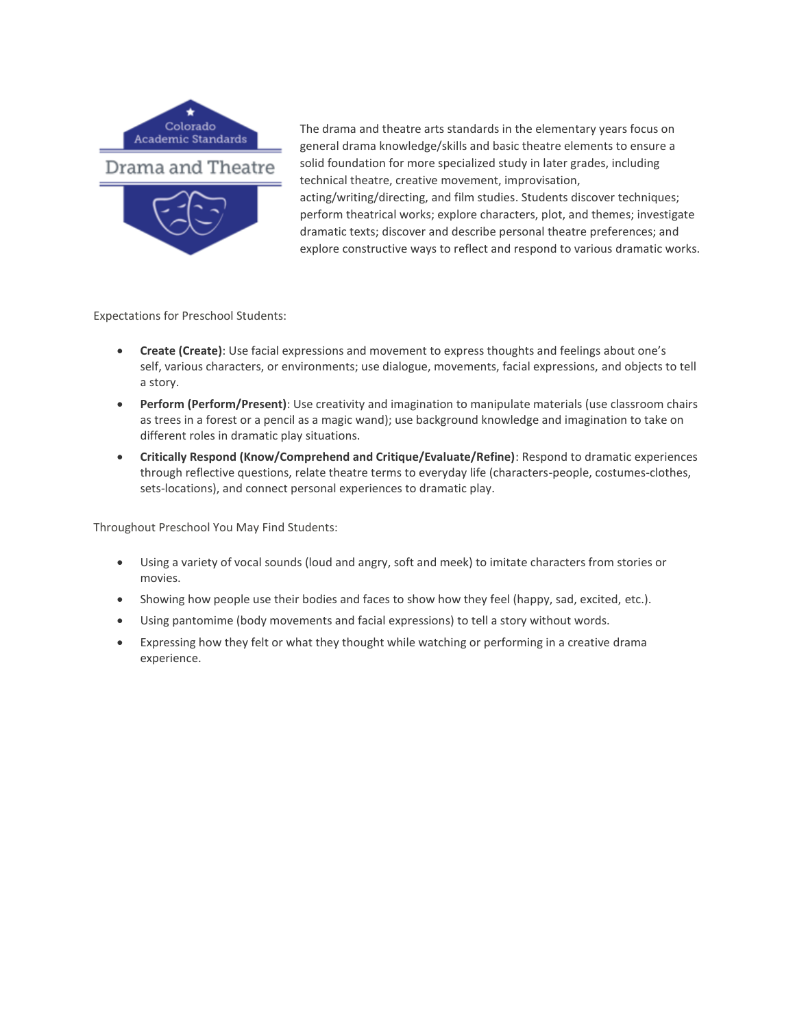

The drama and theatre arts standards in the elementary years focus on general drama knowledge/skills and basic theatre elements to ensure a solid foundation for more specialized study in later grades, including technical theatre, creative movement, improvisation, acting/writing/directing, and film studies. Students discover techniques; perform theatrical works; explore characters, plot, and themes; investigate dramatic texts; discover and describe personal theatre preferences; and explore constructive ways to reflect and respond to various dramatic works.

Expectations for Preschool Students:

- **Create (Create)**: Use facial expressions and movement to express thoughts and feelings about one's self, various characters, or environments; use dialogue, movements, facial expressions, and objects to tell a story.
- **Perform (Perform/Present)**: Use creativity and imagination to manipulate materials (use classroom chairs as trees in a forest or a pencil as a magic wand); use background knowledge and imagination to take on different roles in dramatic play situations.
- **Critically Respond (Know/Comprehend and Critique/Evaluate/Refine)**: Respond to dramatic experiences through reflective questions, relate theatre terms to everyday life (characters-people, costumes-clothes, sets-locations), and connect personal experiences to dramatic play.

- Using a variety of vocal sounds (loud and angry, soft and meek) to imitate characters from stories or movies.
- Showing how people use their bodies and faces to show how they feel (happy, sad, excited, etc.).
- Using pantomime (body movements and facial expressions) to tell a story without words.
- Expressing how they felt or what they thought while watching or performing in a creative drama experience.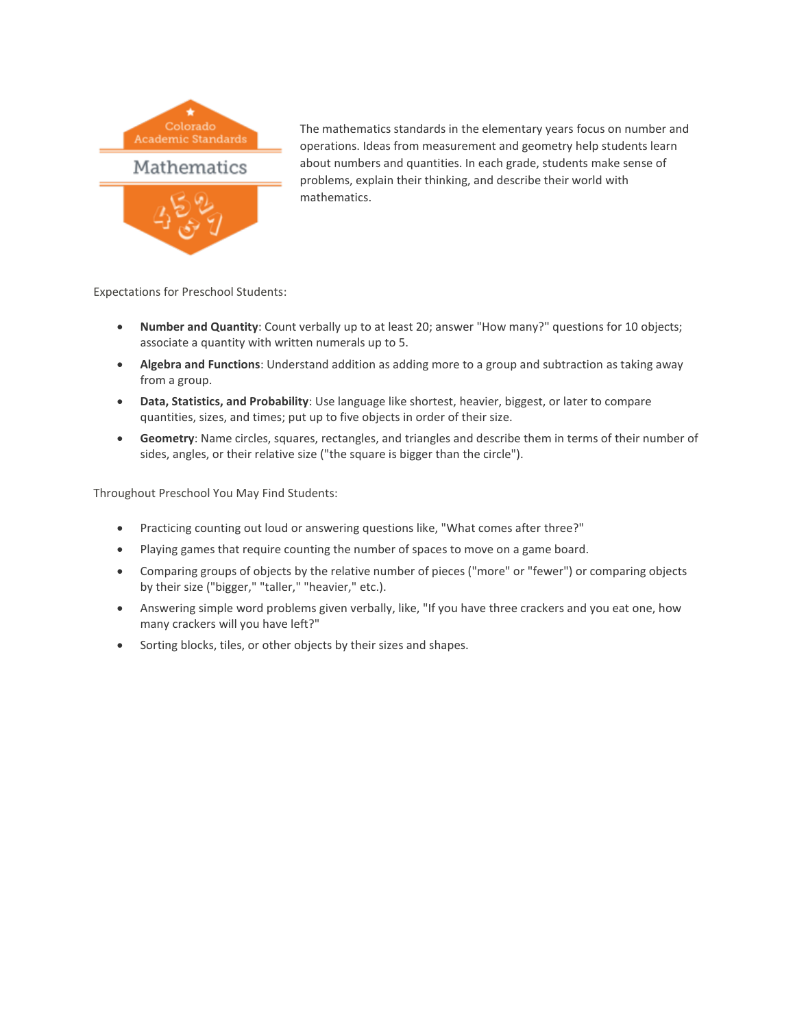

The mathematics standards in the elementary years focus on number and operations. Ideas from measurement and geometry help students learn about numbers and quantities. In each grade, students make sense of problems, explain their thinking, and describe their world with mathematics.

Expectations for Preschool Students:

- **Number and Quantity**: Count verbally up to at least 20; answer "How many?" questions for 10 objects; associate a quantity with written numerals up to 5.
- **Algebra and Functions**: Understand addition as adding more to a group and subtraction as taking away from a group.
- **Data, Statistics, and Probability**: Use language like shortest, heavier, biggest, or later to compare quantities, sizes, and times; put up to five objects in order of their size.
- **Geometry**: Name circles, squares, rectangles, and triangles and describe them in terms of their number of sides, angles, or their relative size ("the square is bigger than the circle").

- Practicing counting out loud or answering questions like, "What comes after three?"
- Playing games that require counting the number of spaces to move on a game board.
- Comparing groups of objects by the relative number of pieces ("more" or "fewer") or comparing objects by their size ("bigger," "taller," "heavier," etc.).
- Answering simple word problems given verbally, like, "If you have three crackers and you eat one, how many crackers will you have left?"
- Sorting blocks, tiles, or other objects by their sizes and shapes.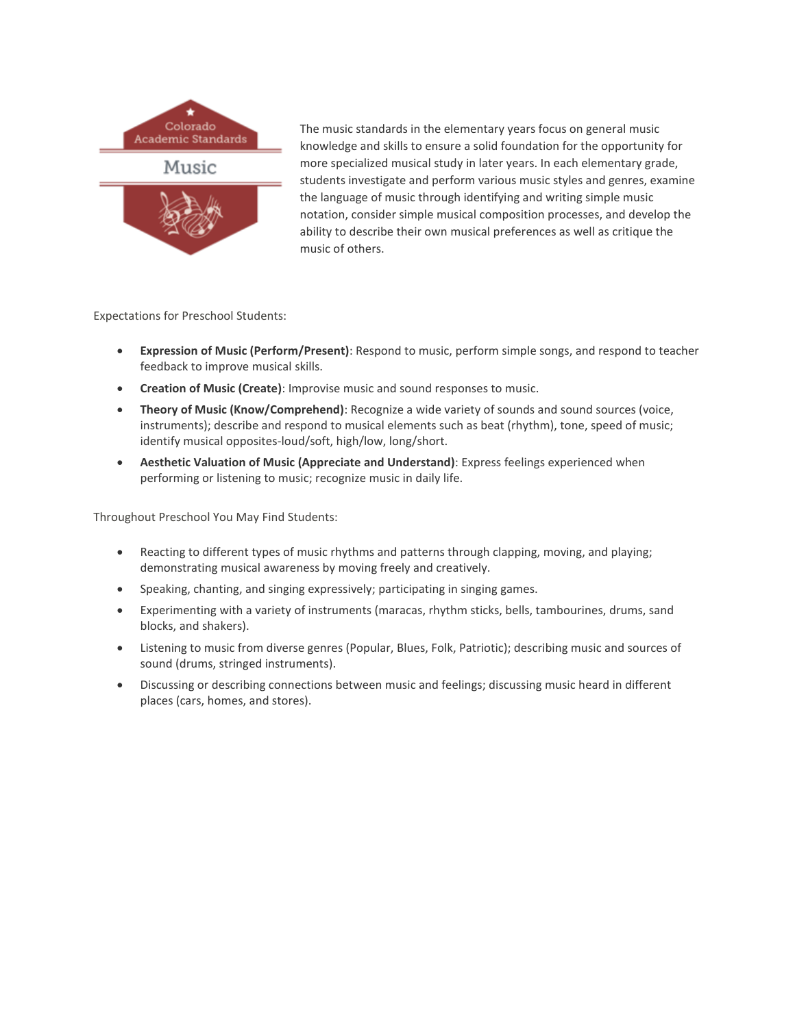

The music standards in the elementary years focus on general music knowledge and skills to ensure a solid foundation for the opportunity for more specialized musical study in later years. In each elementary grade, students investigate and perform various music styles and genres, examine the language of music through identifying and writing simple music notation, consider simple musical composition processes, and develop the ability to describe their own musical preferences as well as critique the music of others.

Expectations for Preschool Students:

- **Expression of Music (Perform/Present)**: Respond to music, perform simple songs, and respond to teacher feedback to improve musical skills.
- **Creation of Music (Create)**: Improvise music and sound responses to music.
- **Theory of Music (Know/Comprehend)**: Recognize a wide variety of sounds and sound sources (voice, instruments); describe and respond to musical elements such as beat (rhythm), tone, speed of music; identify musical opposites-loud/soft, high/low, long/short.
- **Aesthetic Valuation of Music (Appreciate and Understand)**: Express feelings experienced when performing or listening to music; recognize music in daily life.

- Reacting to different types of music rhythms and patterns through clapping, moving, and playing; demonstrating musical awareness by moving freely and creatively.
- Speaking, chanting, and singing expressively; participating in singing games.
- Experimenting with a variety of instruments (maracas, rhythm sticks, bells, tambourines, drums, sand blocks, and shakers).
- Listening to music from diverse genres (Popular, Blues, Folk, Patriotic); describing music and sources of sound (drums, stringed instruments).
- Discussing or describing connections between music and feelings; discussing music heard in different places (cars, homes, and stores).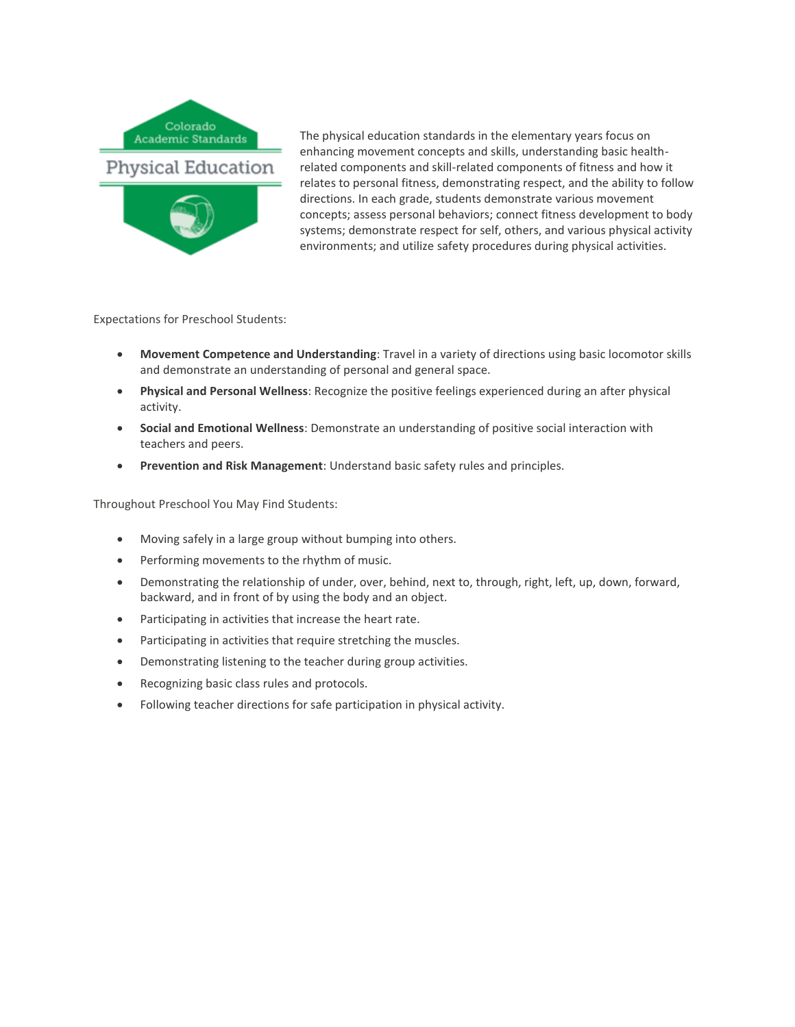

The physical education standards in the elementary years focus on enhancing movement concepts and skills, understanding basic healthrelated components and skill-related components of fitness and how it relates to personal fitness, demonstrating respect, and the ability to follow directions. In each grade, students demonstrate various movement concepts; assess personal behaviors; connect fitness development to body systems; demonstrate respect for self, others, and various physical activity environments; and utilize safety procedures during physical activities.

Expectations for Preschool Students:

- **Movement Competence and Understanding**: Travel in a variety of directions using basic locomotor skills and demonstrate an understanding of personal and general space.
- **Physical and Personal Wellness**: Recognize the positive feelings experienced during an after physical activity.
- **Social and Emotional Wellness**: Demonstrate an understanding of positive social interaction with teachers and peers.
- **Prevention and Risk Management**: Understand basic safety rules and principles.

- Moving safely in a large group without bumping into others.
- Performing movements to the rhythm of music.
- Demonstrating the relationship of under, over, behind, next to, through, right, left, up, down, forward, backward, and in front of by using the body and an object.
- Participating in activities that increase the heart rate.
- Participating in activities that require stretching the muscles.
- Demonstrating listening to the teacher during group activities.
- Recognizing basic class rules and protocols.
- Following teacher directions for safe participation in physical activity.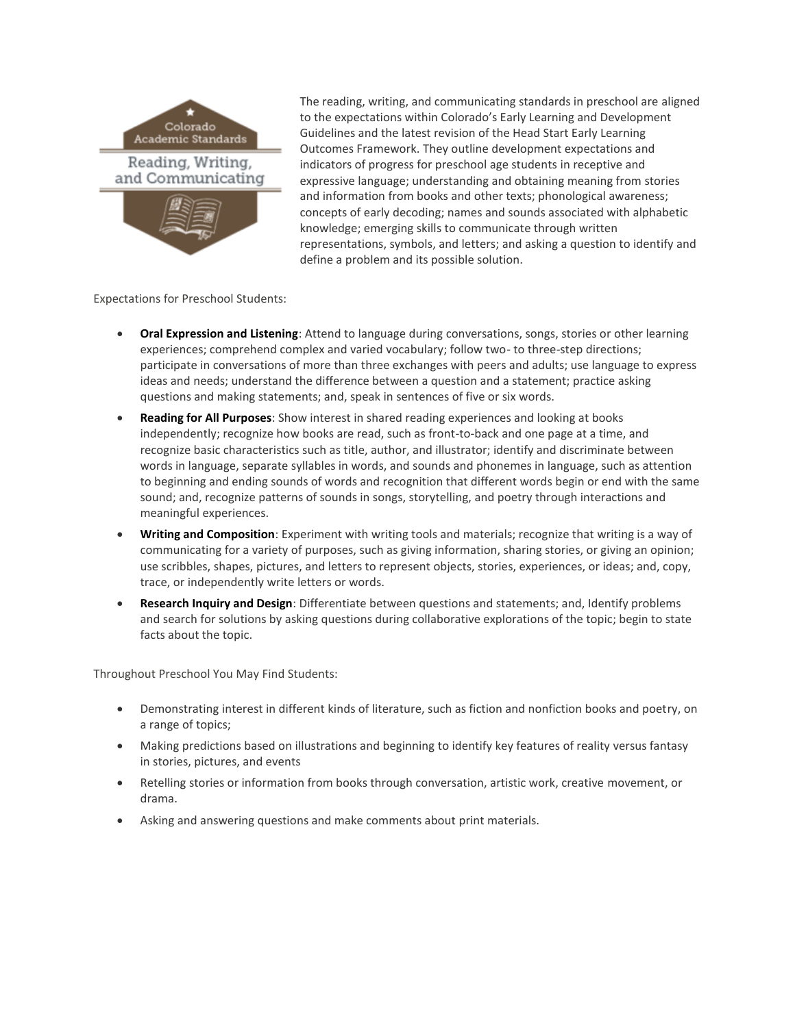

The reading, writing, and communicating standards in preschool are aligned to the expectations within Colorado's Early Learning and Development Guidelines and the latest revision of the Head Start Early Learning Outcomes Framework. They outline development expectations and indicators of progress for preschool age students in receptive and expressive language; understanding and obtaining meaning from stories and information from books and other texts; phonological awareness; concepts of early decoding; names and sounds associated with alphabetic knowledge; emerging skills to communicate through written representations, symbols, and letters; and asking a question to identify and define a problem and its possible solution.

Expectations for Preschool Students:

- **Oral Expression and Listening**: Attend to language during conversations, songs, stories or other learning experiences; comprehend complex and varied vocabulary; follow two- to three-step directions; participate in conversations of more than three exchanges with peers and adults; use language to express ideas and needs; understand the difference between a question and a statement; practice asking questions and making statements; and, speak in sentences of five or six words.
- **Reading for All Purposes**: Show interest in shared reading experiences and looking at books independently; recognize how books are read, such as front-to-back and one page at a time, and recognize basic characteristics such as title, author, and illustrator; identify and discriminate between words in language, separate syllables in words, and sounds and phonemes in language, such as attention to beginning and ending sounds of words and recognition that different words begin or end with the same sound; and, recognize patterns of sounds in songs, storytelling, and poetry through interactions and meaningful experiences.
- **Writing and Composition**: Experiment with writing tools and materials; recognize that writing is a way of communicating for a variety of purposes, such as giving information, sharing stories, or giving an opinion; use scribbles, shapes, pictures, and letters to represent objects, stories, experiences, or ideas; and, copy, trace, or independently write letters or words.
- **Research Inquiry and Design**: Differentiate between questions and statements; and, Identify problems and search for solutions by asking questions during collaborative explorations of the topic; begin to state facts about the topic.

- Demonstrating interest in different kinds of literature, such as fiction and nonfiction books and poetry, on a range of topics;
- Making predictions based on illustrations and beginning to identify key features of reality versus fantasy in stories, pictures, and events
- Retelling stories or information from books through conversation, artistic work, creative movement, or drama.
- Asking and answering questions and make comments about print materials.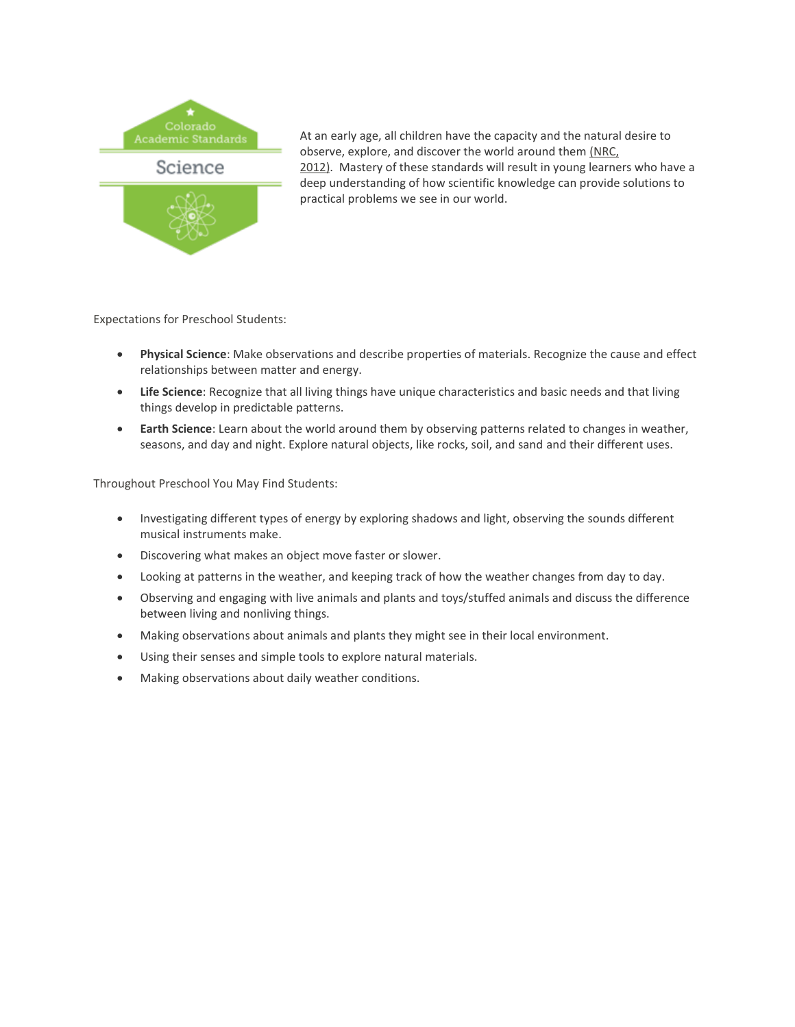

At an early age, all children have the capacity and the natural desire to observe, explore, and discover the world around them [\(NRC,](https://www.nap.edu/read/13165/chapter/1)  [2012\).](https://www.nap.edu/read/13165/chapter/1) Mastery of these standards will result in young learners who have a deep understanding of how scientific knowledge can provide solutions to practical problems we see in our world.

Expectations for Preschool Students:

- **Physical Science**: Make observations and describe properties of materials. Recognize the cause and effect relationships between matter and energy.
- **Life Science**: Recognize that all living things have unique characteristics and basic needs and that living things develop in predictable patterns.
- **Earth Science**: Learn about the world around them by observing patterns related to changes in weather, seasons, and day and night. Explore natural objects, like rocks, soil, and sand and their different uses.

- Investigating different types of energy by exploring shadows and light, observing the sounds different musical instruments make.
- Discovering what makes an object move faster or slower.
- Looking at patterns in the weather, and keeping track of how the weather changes from day to day.
- Observing and engaging with live animals and plants and toys/stuffed animals and discuss the difference between living and nonliving things.
- Making observations about animals and plants they might see in their local environment.
- Using their senses and simple tools to explore natural materials.
- Making observations about daily weather conditions.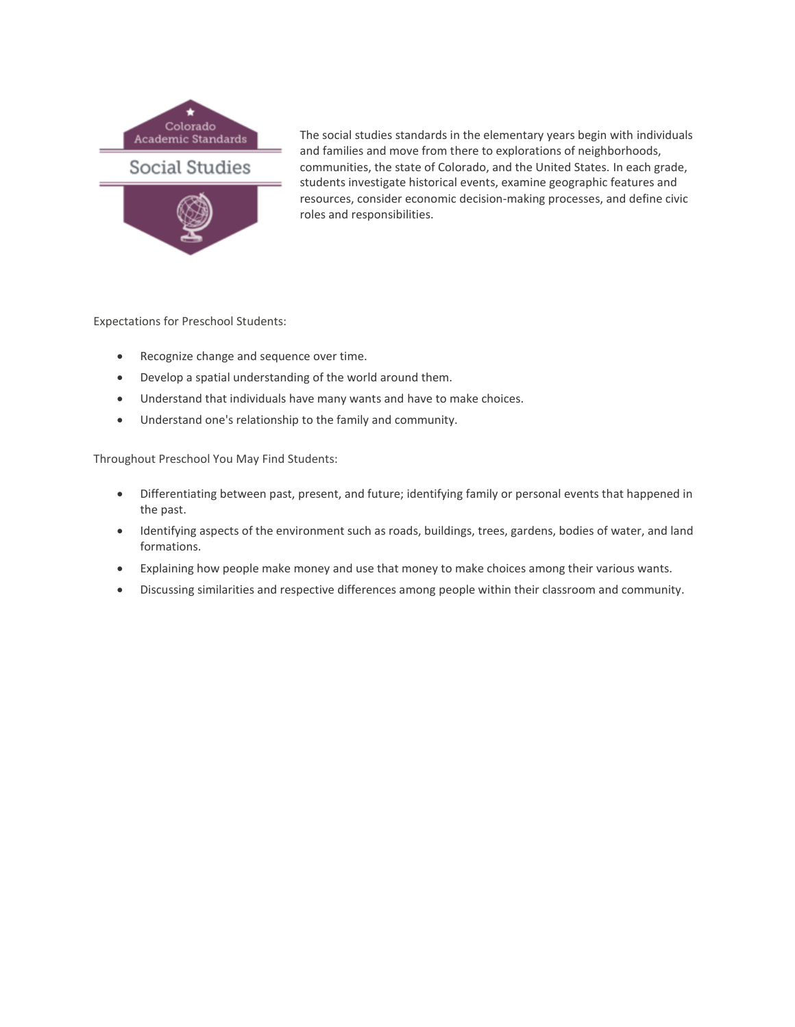

The social studies standards in the elementary years begin with individuals and families and move from there to explorations of neighborhoods, communities, the state of Colorado, and the United States. In each grade, students investigate historical events, examine geographic features and resources, consider economic decision-making processes, and define civic roles and responsibilities.

Expectations for Preschool Students:

- Recognize change and sequence over time.
- Develop a spatial understanding of the world around them.
- Understand that individuals have many wants and have to make choices.
- Understand one's relationship to the family and community.

- Differentiating between past, present, and future; identifying family or personal events that happened in the past.
- Identifying aspects of the environment such as roads, buildings, trees, gardens, bodies of water, and land formations.
- Explaining how people make money and use that money to make choices among their various wants.
- Discussing similarities and respective differences among people within their classroom and community.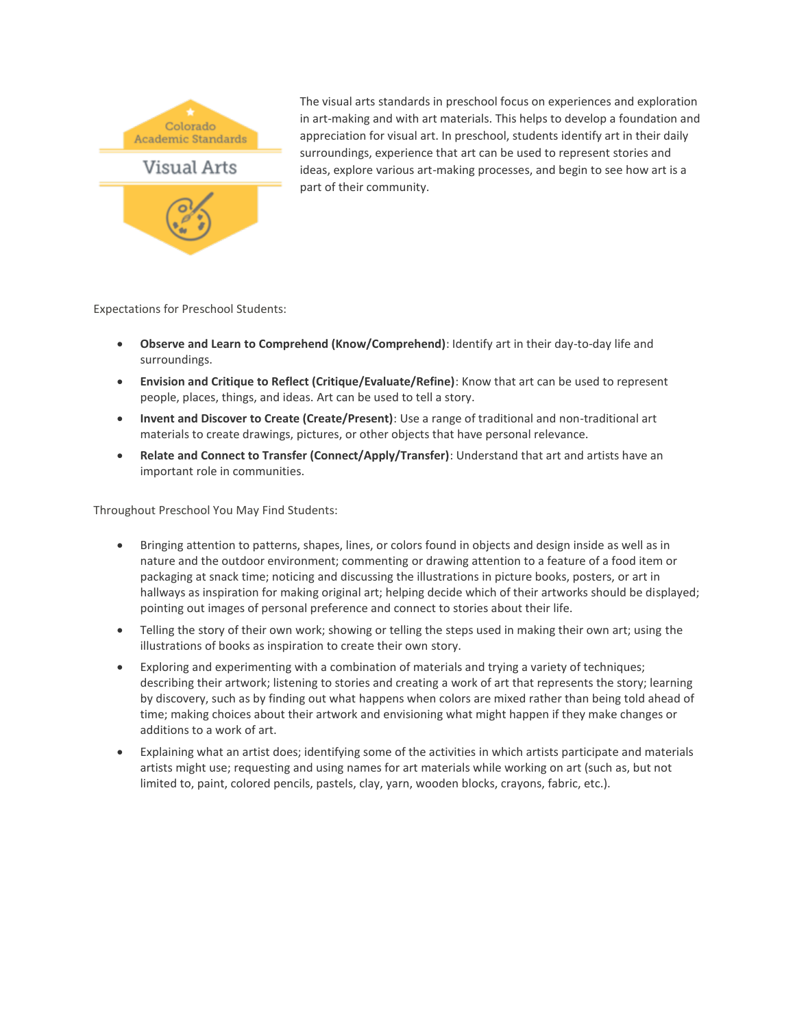

The visual arts standards in preschool focus on experiences and exploration in art-making and with art materials. This helps to develop a foundation and appreciation for visual art. In preschool, students identify art in their daily surroundings, experience that art can be used to represent stories and ideas, explore various art-making processes, and begin to see how art is a part of their community.

Expectations for Preschool Students:

- **Observe and Learn to Comprehend (Know/Comprehend)**: Identify art in their day-to-day life and surroundings.
- **Envision and Critique to Reflect (Critique/Evaluate/Refine)**: Know that art can be used to represent people, places, things, and ideas. Art can be used to tell a story.
- **Invent and Discover to Create (Create/Present)**: Use a range of traditional and non-traditional art materials to create drawings, pictures, or other objects that have personal relevance.
- **Relate and Connect to Transfer (Connect/Apply/Transfer)**: Understand that art and artists have an important role in communities.

- Bringing attention to patterns, shapes, lines, or colors found in objects and design inside as well as in nature and the outdoor environment; commenting or drawing attention to a feature of a food item or packaging at snack time; noticing and discussing the illustrations in picture books, posters, or art in hallways as inspiration for making original art; helping decide which of their artworks should be displayed; pointing out images of personal preference and connect to stories about their life.
- Telling the story of their own work; showing or telling the steps used in making their own art; using the illustrations of books as inspiration to create their own story.
- Exploring and experimenting with a combination of materials and trying a variety of techniques; describing their artwork; listening to stories and creating a work of art that represents the story; learning by discovery, such as by finding out what happens when colors are mixed rather than being told ahead of time; making choices about their artwork and envisioning what might happen if they make changes or additions to a work of art.
- Explaining what an artist does; identifying some of the activities in which artists participate and materials artists might use; requesting and using names for art materials while working on art (such as, but not limited to, paint, colored pencils, pastels, clay, yarn, wooden blocks, crayons, fabric, etc.).